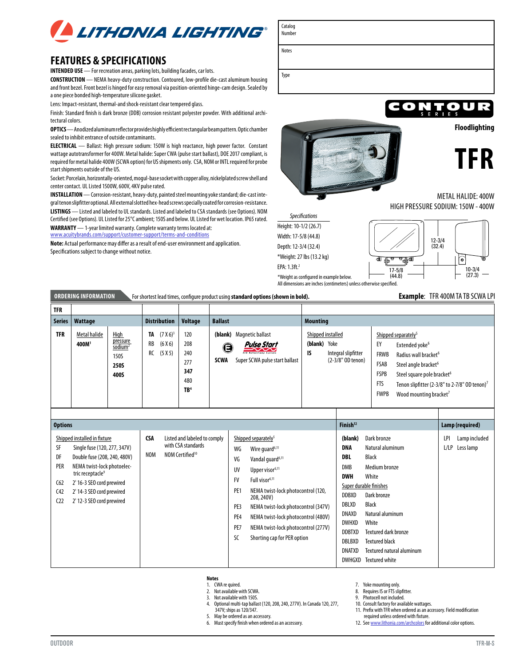

## **FEATURES & SPECIFICATIONS**

**INTENDED USE** — For recreation areas, parking lots, building facades, car lots.

**CONSTRUCTION** — NEMA heavy-duty construction. Contoured, low-profile die-cast aluminum housing and front bezel. Front bezel is hinged for easy removal via position-oriented hinge-cam design. Sealed by a one piece bonded high-temperature silicone gasket.

Lens: Impact-resistant, thermal-and shock-resistant clear tempered glass.

Finish: Standard finish is dark bronze (DDB) corrosion resistant polyester powder. With additional architectural colors.

**OPTICS** — Anodized aluminum reflector provides highly efficient rectangular beam pattern. Optic chamber sealed to inhibit entrance of outside contaminants.

**ELECTRICAL** — Ballast: High pressure sodium: 150W is high reactance, high power factor. Constant wattage autotransformer for 400W. Metal halide: Super CWA (pulse start ballast), DOE 2017 compliant, is required for metal halide 400W (SCWA option) for US shipments only. CSA, NOM or INTL required for probe start shipments outside of the US.

Socket: Porcelain, horizontally-oriented, mogul-base socket with copper alloy, nickelplated screw shell and center contact. UL Listed 1500W, 600V, 4KV pulse rated.

**INSTALLATION** — Corrosion-resistant, heavy-duty, painted steel mounting yoke standard; die-cast integral tenon slipfitter optional. All external slotted hex-head screws specially coated for corrosion-resistance. **LISTINGS** — Listed and labeled to UL standards. Listed and labeled to CSA standards (see Options). NOM Certified (see Options). UL Listed for 25°C ambient; 150S and below. UL Listed for wet location. IP65 rated.

**WARRANTY** — 1-year limited warranty. Complete warranty terms located at: [www.acuitybrands.com/support/customer-support/terms-and-conditions](http://www.acuitybrands.com/support/customer-support/terms-and-conditions)

**Note:** Actual performance may differ as a result of end-user environment and application. Specifications subject to change without notice.



**CONTOUR Floodlighting**



METAL HALIDE: 400W HIGH PRESSURE SODIUM: 150W - 400W

\*Weight as configured in example below. *Specifications* Height: 10-1/2 (26.7) Width: 17-5/8 (44.8) Depth: 12-3/4 (32.4) \*Weight: 27 lbs (13.2 kg) EPA: 1.3ft.2

Catalog Number

Notes

Type



All dimensions are inches (centimeters) unless otherwise specified.

### **ORDERING INFORMATION** For shortest lead times, configure product using standard options (shown in bold). **Example**: TFR 400M TA TB SCWA LPI

| <b>TFR</b> |                                   |                                                                                  |                     |                                         |                                                           |                  |                                                                                                                     |                 |                                                                       |                                                                       |                                                                                                                                                                                                                                                                                    |
|------------|-----------------------------------|----------------------------------------------------------------------------------|---------------------|-----------------------------------------|-----------------------------------------------------------|------------------|---------------------------------------------------------------------------------------------------------------------|-----------------|-----------------------------------------------------------------------|-----------------------------------------------------------------------|------------------------------------------------------------------------------------------------------------------------------------------------------------------------------------------------------------------------------------------------------------------------------------|
|            | Series   Wattage                  |                                                                                  | <b>Distribution</b> |                                         | Voltage                                                   | <b>Ballast</b>   |                                                                                                                     | <b>Mounting</b> |                                                                       |                                                                       |                                                                                                                                                                                                                                                                                    |
| <b>TFR</b> | Metal halide<br>400M <sup>1</sup> | <b>High</b><br>pressure<br>$s$ odium <sup>2</sup><br>150S<br><b>250S</b><br>400S |                     | $(7 X 6)^3$<br>(6 X 6)<br>RB<br>(5 X 5) | 120<br>208<br>240<br>277<br>347<br>480<br>TB <sup>4</sup> | O<br><b>SCWA</b> | (blank) Magnetic ballast<br><b>Pulse Start</b><br><b>HID Bellest/Lemp Systems</b><br>Super SCWA pulse start ballast | (blank)<br>IS   | Shipped installed<br>Yoke<br>Integral slipfitter<br>(2-3/8" OD tenon) | EY<br><b>FRWB</b><br>FSAB<br><b>FSPB</b><br><b>FTS</b><br><b>FWPB</b> | Shipped separately <sup>5</sup><br>Extended yoke <sup>6</sup><br>Radius wall bracket <sup>6</sup><br>Steel angle bracket <sup>6</sup><br>Steel square pole bracket <sup>6</sup><br>Tenon slipfitter (2-3/8" to 2-7/8" OD tenon) <sup>7</sup><br>Wood mounting bracket <sup>7</sup> |

| <b>Options</b>                                                                                                                                                                                                                                                                                              |                          |                                                                                   | Finish <sup>12</sup>                                                                                                                                                                                                                                                                                                                                                                                                                            |                                                                                                                                                                         |                                                                                                                                                                                                                                                                        | Lamp (required) |                            |
|-------------------------------------------------------------------------------------------------------------------------------------------------------------------------------------------------------------------------------------------------------------------------------------------------------------|--------------------------|-----------------------------------------------------------------------------------|-------------------------------------------------------------------------------------------------------------------------------------------------------------------------------------------------------------------------------------------------------------------------------------------------------------------------------------------------------------------------------------------------------------------------------------------------|-------------------------------------------------------------------------------------------------------------------------------------------------------------------------|------------------------------------------------------------------------------------------------------------------------------------------------------------------------------------------------------------------------------------------------------------------------|-----------------|----------------------------|
| Shipped installed in fixture<br>SF<br>Single fuse (120, 277, 347V)<br>DF<br>Double fuse (208, 240, 480V)<br>NEMA twist-lock photoelec-<br><b>PER</b><br>tric receptacle <sup>9</sup><br>C62<br>2' 16-3 SEO cord prewired<br>2' 14-3 SEO cord prewired<br>C42<br>C <sub>2</sub><br>2' 12-3 SEO cord prewired | <b>CSA</b><br><b>NOM</b> | Listed and labeled to comply<br>with CSA standards<br>NOM Certified <sup>10</sup> | Shipped separately <sup>5</sup><br>WG<br>Wire quard <sup>6,11</sup><br>VG<br>Vandal quard <sup>6,11</sup><br>UV<br>Upper visor <sup>6,11</sup><br><b>FV</b><br>Full visor <sup>6,11</sup><br>PE <sub>1</sub><br>NEMA twist-lock photocontrol (120,<br>208, 240V)<br>PE3<br>NEMA twist-lock photocontrol (347V)<br>PE4<br>NEMA twist-lock photocontrol (480V)<br>PE7<br>NEMA twist-lock photocontrol (277V)<br>SC<br>Shorting cap for PER option | (blank)<br><b>DNA</b><br>DBL<br>DMB<br><b>DWH</b><br><b>DDBXD</b><br><b>DBLXD</b><br><b>DNAXD</b><br><b>DWHXD</b><br>DDBTXD<br><b>DBLBXD</b><br>DNATXD<br><b>DWHGXD</b> | Dark bronze<br>Natural aluminum<br><b>Black</b><br>Medium bronze<br>White<br>Super durable finishes<br>Dark bronze<br><b>Black</b><br>Natural aluminum<br>White<br>Textured dark bronze<br><b>Textured black</b><br>Textured natural aluminum<br><b>Textured white</b> | LPI<br>L/LP     | Lamp included<br>Less lamp |

4. Optional multi-tap ballast (120, 208, 240, 277V). In Canada 120, 277,

Must specify finish when ordered as an accessory.

### **Notes**

1. CWA re quired. 2. Not available with SCWA.

3. Not available with 150S.<br>4. Optional multi-tap ballas

347V; ships as 120/347. 5. May be ordered as an accessory.<br>6. Must specify finish when ordere 8. Requires IS or FTS slipfitter.

7. Yoke mounting only.

9. Photocell not included.

10. Consult factory for available wattages.

11. Prefix with TFR when ordered as an accessory. Field modification

- required unless ordered with fixture.
- 12. See [www.lithonia.com/archcolors](http://www.lithonia.com/archcolors) for additional color options.